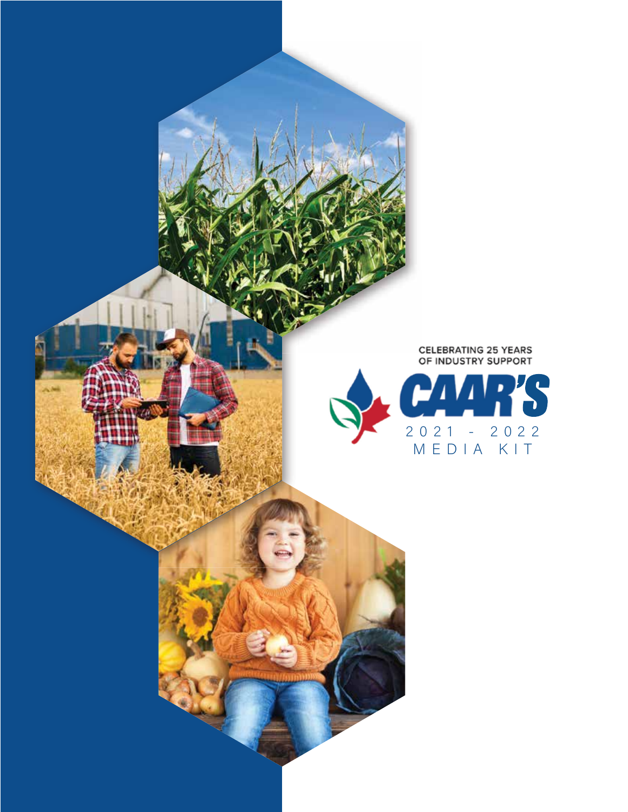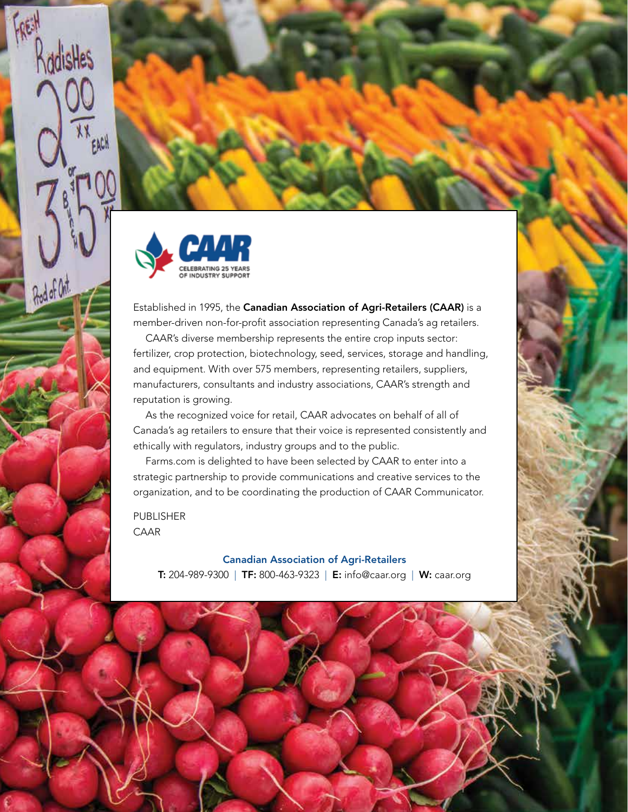

KodisHes

And of Ont

Established in 1995, the Canadian Association of Agri-Retailers (CAAR) is a member-driven non-for-profit association representing Canada's ag retailers.

CAAR's diverse membership represents the entire crop inputs sector: fertilizer, crop protection, biotechnology, seed, services, storage and handling, and equipment. With over 575 members, representing retailers, suppliers, manufacturers, consultants and industry associations, CAAR's strength and reputation is growing.

As the recognized voice for retail, CAAR advocates on behalf of all of Canada's ag retailers to ensure that their voice is represented consistently and ethically with regulators, industry groups and to the public.

Farms.com is delighted to have been selected by CAAR to enter into a strategic partnership to provide communications and creative services to the organization, and to be coordinating the production of CAAR Communicator.

PUBLISHER CAAR

Canadian Association of Agri-Retailers

T: 204-989-9300 | TF: 800-463-9323 | E: info@caar.org | W: caar.org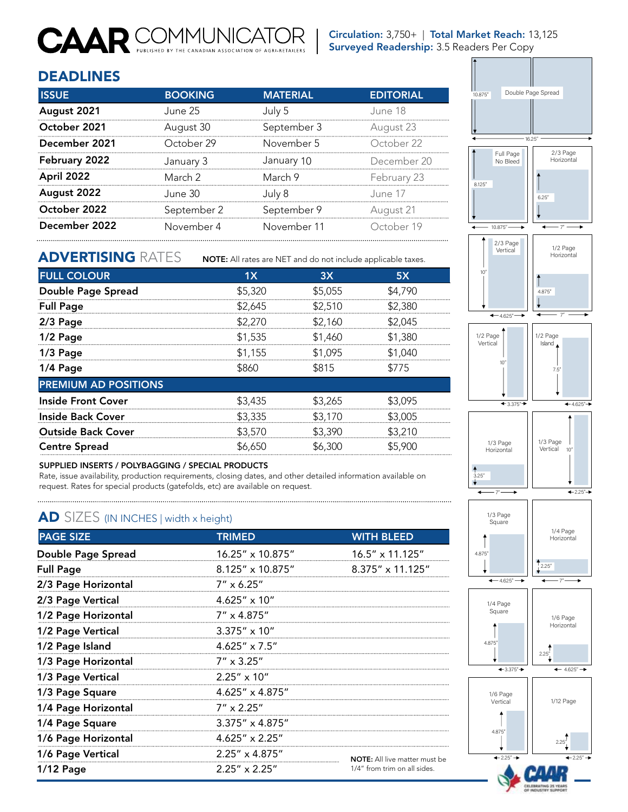### **CAAR** COMMUNICATO AGRI-RETAILER

Circulation: 3,750+ | Total Market Reach: 13,125 Surveyed Readership: 3.5 Readers Per Copy

. . . .

#### DEADLINES

| <b>ISSUE</b>  | <b>BOOKING</b> | <b>MATERIAL</b> | <b>EDITORIAL</b> |
|---------------|----------------|-----------------|------------------|
| August 2021   | June 25.       | July 5          | June 18          |
| October 2021  | August 30      | September 3     | August 23        |
| December 2021 | October 29     | November 5      | October 22       |
| February 2022 | January 3      | January 10      | December 20      |
| April 2022    | March 2        | March 9         | February 23      |
| August 2022   | June 30        | July 8          | June 17          |
| October 2022  | September 2    | September 9     | August 21        |
| December 2022 | November 4     | November 11     | October 19       |

#### ADVERTISING RATES

NOTE: All rates are NET and do not include applicable taxes.

| <b>FULL COLOUR</b>          | 1X      | 3X      | 5X      |
|-----------------------------|---------|---------|---------|
| Double Page Spread          | \$5,320 | \$5,055 | \$4,790 |
| <b>Full Page</b>            | \$2,645 | \$2,510 | \$2,380 |
| $2/3$ Page                  | \$2,270 | \$2,160 | \$2,045 |
| 1/2 Page                    | \$1,535 | \$1,460 | \$1,380 |
| $1/3$ Page                  | \$1,155 | \$1,095 | \$1,040 |
| 1/4 Page                    | \$860   | \$815   | \$775   |
| <b>PREMIUM AD POSITIONS</b> |         |         |         |
| <b>Inside Front Cover</b>   | \$3,435 | \$3,265 | \$3.095 |
| <b>Inside Back Cover</b>    | \$3,335 | \$3,170 | \$3,005 |
| <b>Outside Back Cover</b>   | \$3,570 | \$3,390 | \$3,210 |
| <b>Centre Spread</b>        | \$6,650 | \$6,300 | \$5,900 |

#### SUPPLIED INSERTS / POLYBAGGING / SPECIAL PRODUCTS

Rate, issue availability, production requirements, closing dates, and other detailed information available on request. Rates for special products (gatefolds, etc) are available on request.

#### AD SIZES (IN INCHES | width x height)

| <b>PAGE SIZE</b>          | <b>TRIMED</b>             | <b>WITH BLEED</b>                    |  |
|---------------------------|---------------------------|--------------------------------------|--|
| <b>Double Page Spread</b> | $16.25'' \times 10.875''$ | $16.5'' \times 11.125''$             |  |
| <b>Full Page</b>          | $8.125'' \times 10.875''$ | $8.375'' \times 11.125''$            |  |
| 2/3 Page Horizontal       | $7'' \times 6.25''$       |                                      |  |
| 2/3 Page Vertical         | $4.625'' \times 10''$     |                                      |  |
| 1/2 Page Horizontal       | $7'' \times 4.875''$      |                                      |  |
| 1/2 Page Vertical         | $3.375'' \times 10''$     |                                      |  |
| 1/2 Page Island           | $4.625'' \times 7.5''$    |                                      |  |
| 1/3 Page Horizontal       | $7'' \times 3.25''$       |                                      |  |
| 1/3 Page Vertical         | $2.25'' \times 10''$      |                                      |  |
| 1/3 Page Square           | $4.625'' \times 4.875''$  |                                      |  |
| 1/4 Page Horizontal       | $7'' \times 2.25''$       |                                      |  |
| 1/4 Page Square           | $3.375'' \times 4.875''$  |                                      |  |
| 1/6 Page Horizontal       | $4.625'' \times 2.25''$   |                                      |  |
| 1/6 Page Vertical         | $2.25'' \times 4.875''$   | <b>NOTE:</b> All live matter must be |  |
| $1/12$ Page               | $2.25'' \times 2.25''$    | 1/4" from trim on all sides.         |  |



 $\leftarrow 2.25" \rightarrow$ 

2.25"

2.25"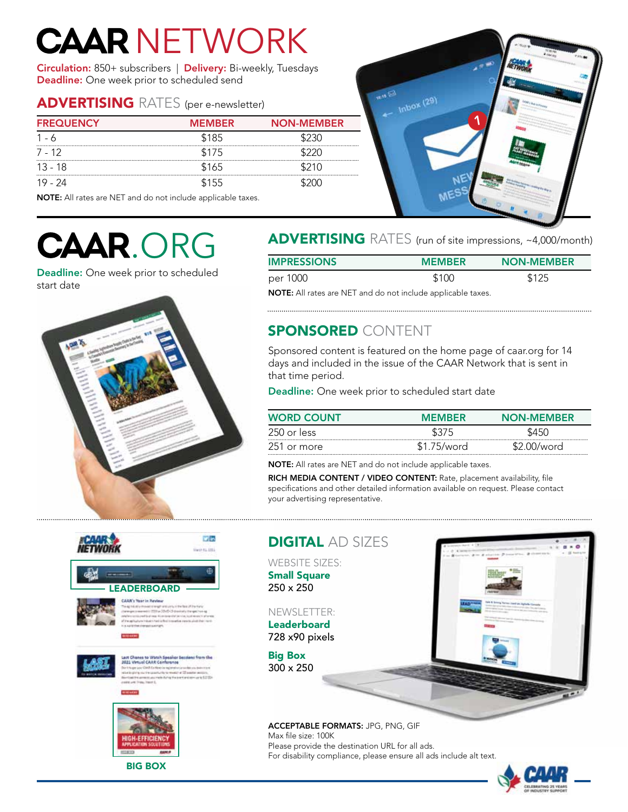# **CAAR NETWORK**

Circulation: 850+ subscribers | Delivery: Bi-weekly, Tuesdays Deadline: One week prior to scheduled send

#### ADVERTISING RATES (per e-newsletter)

| <b>FREQUENCY</b> | <b>MEMBER</b> | <b>NON-MEMBER</b> |
|------------------|---------------|-------------------|
| 1 - 6            | \$185         |                   |
| 7 - 12           | \$175         |                   |
| $13 - 18$        | \$165         | \$210             |
| 19 - 24          | \$155         |                   |

NOTE: All rates are NET and do not include applicable taxes.



Deadline: One week prior to scheduled start date



### CAAR.ORG ADVERTISING RATES (run of site impressions, ~4,000/month)

| <b>IMPRESSIONS</b> | <b>MEMBER</b> | <b>NON-MEMBER</b> |
|--------------------|---------------|-------------------|
| per 1000           | \$100         | \$125             |

NOTE: All rates are NET and do not include applicable taxes.

#### SPONSORED CONTENT

Sponsored content is featured on the home page of caar.org for 14 days and included in the issue of the CAAR Network that is sent in that time period.

Deadline: One week prior to scheduled start date

| <b>WORD COUNT</b> | <b>MEMRER</b> | <b>NON-MEMBER</b> |
|-------------------|---------------|-------------------|
| 250 or less       | \$375         | S45C              |
| -251 or more      | \$1.75/word   | \$2.00/word       |

NOTE: All rates are NET and do not include applicable taxes.

RICH MEDIA CONTENT / VIDEO CONTENT: Rate, placement availability, file specifications and other detailed information available on request. Please contact your advertising representative.